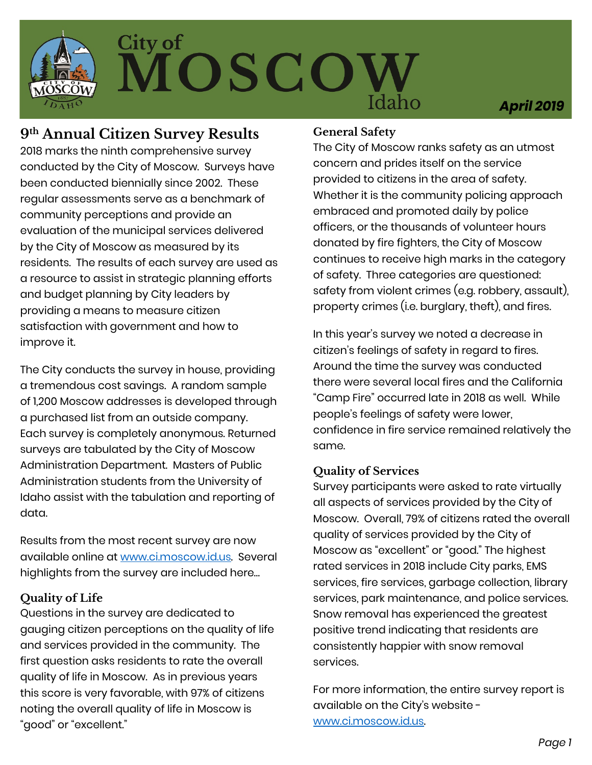

# City of<br>MOSCO

*April 2019*

### **9th Annual Citizen Survey Results**

2018 marks the ninth comprehensive survey conducted by the City of Moscow. Surveys have been conducted biennially since 2002. These regular assessments serve as a benchmark of community perceptions and provide an evaluation of the municipal services delivered by the City of Moscow as measured by its residents. The results of each survey are used as a resource to assist in strategic planning efforts and budget planning by City leaders by providing a means to measure citizen satisfaction with government and how to improve it.

The City conducts the survey in house, providing a tremendous cost savings. A random sample of 1,200 Moscow addresses is developed through a purchased list from an outside company. Each survey is completely anonymous. Returned surveys are tabulated by the City of Moscow Administration Department. Masters of Public Administration students from the University of Idaho assist with the tabulation and reporting of data.

Results from the most recent survey are now available online at [www.ci.moscow.id.us.](http://www.ci.moscow.id.us/) Several highlights from the survey are included here…

#### **Quality of Life**

Questions in the survey are dedicated to gauging citizen perceptions on the quality of life and services provided in the community. The first question asks residents to rate the overall quality of life in Moscow. As in previous years this score is very favorable, with 97% of citizens noting the overall quality of life in Moscow is "good" or "excellent."

### **General Safety**

The City of Moscow ranks safety as an utmost concern and prides itself on the service provided to citizens in the area of safety. Whether it is the community policing approach embraced and promoted daily by police officers, or the thousands of volunteer hours donated by fire fighters, the City of Moscow continues to receive high marks in the category of safety. Three categories are questioned: safety from violent crimes (e.g. robbery, assault), property crimes (i.e. burglary, theft), and fires.

In this year's survey we noted a decrease in citizen's feelings of safety in regard to fires. Around the time the survey was conducted there were several local fires and the California "Camp Fire" occurred late in 2018 as well. While people's feelings of safety were lower, confidence in fire service remained relatively the same.

### **Quality of Services**

Survey participants were asked to rate virtually all aspects of services provided by the City of Moscow. Overall, 79% of citizens rated the overall quality of services provided by the City of Moscow as "excellent" or "good." The highest rated services in 2018 include City parks, EMS services, fire services, garbage collection, library services, park maintenance, and police services. Snow removal has experienced the greatest positive trend indicating that residents are consistently happier with snow removal services.

For more information, the entire survey report is available on the City's website [www.ci.moscow.id.us.](http://www.ci.moscow.id.us/)